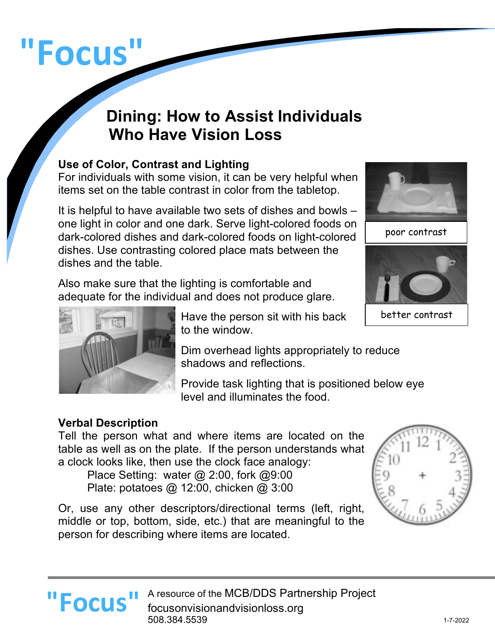# **"Focus"**

# **Dining: How to Assist Individuals Who Have Vision Loss**

## **Use of Color, Contrast and Lighting**

For individuals with some vision, it can be very helpful when items set on the table contrast in color from the tabletop.

It is helpful to have available two sets of dishes and bowls – one light in color and one dark. Serve light-colored foods on dark-colored dishes and dark-colored foods on light-colored dishes. Use contrasting colored place mats between the dishes and the table.

Also make sure that the lighting is comfortable and adequate for the individual and does not produce glare.

> Have the person sit with his back to the window.

A resource of the MCB/DDS Partnership Project

Dim overhead lights appropriately to reduce shadows and reflections.

Provide task lighting that is positioned below eye level and illuminates the food.

### **Verbal Description**

Tell the person what and where items are located on the table as well as on the plate. If the person understands what a clock looks like, then use the clock face analogy:

Place Setting: water @ 2:00, fork @9:00 Plate: potatoes @ 12:00, chicken @ 3:00

**"Focus "** A resource of the MCB/DDS Partn focusonvisionandvisionloss.org 508.384.5539

Or, use any other descriptors/directional terms (left, right, middle or top, bottom, side, etc.) that are meaningful to the person for describing where items are located.





poor contrast



better contrast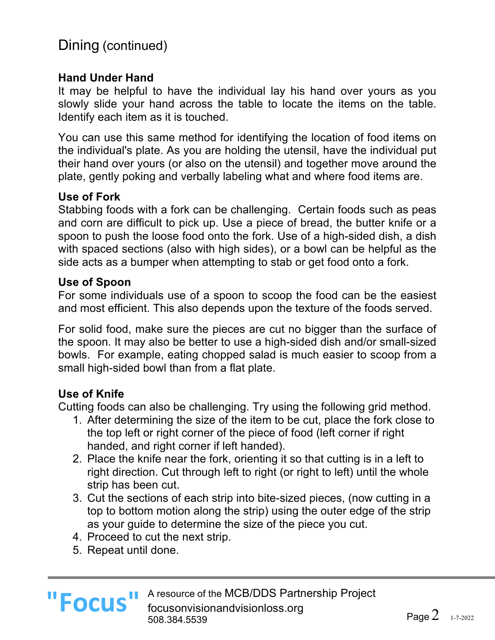# Dining (continued)

#### **Hand Under Hand**

It may be helpful to have the individual lay his hand over yours as you slowly slide your hand across the table to locate the items on the table. Identify each item as it is touched.

You can use this same method for identifying the location of food items on the individual's plate. As you are holding the utensil, have the individual put their hand over yours (or also on the utensil) and together move around the plate, gently poking and verbally labeling what and where food items are.

#### **Use of Fork**

Stabbing foods with a fork can be challenging. Certain foods such as peas and corn are difficult to pick up. Use a piece of bread, the butter knife or a spoon to push the loose food onto the fork. Use of a high-sided dish, a dish with spaced sections (also with high sides), or a bowl can be helpful as the side acts as a bumper when attempting to stab or get food onto a fork.

#### **Use of Spoon**

For some individuals use of a spoon to scoop the food can be the easiest and most efficient. This also depends upon the texture of the foods served.

For solid food, make sure the pieces are cut no bigger than the surface of the spoon. It may also be better to use a high-sided dish and/or small-sized bowls. For example, eating chopped salad is much easier to scoop from a small high-sided bowl than from a flat plate.

#### **Use of Knife**

Cutting foods can also be challenging. Try using the following grid method.

- 1. After determining the size of the item to be cut, place the fork close to the top left or right corner of the piece of food (left corner if right handed, and right corner if left handed).
- 2. Place the knife near the fork, orienting it so that cutting is in a left to right direction. Cut through left to right (or right to left) until the whole strip has been cut.
- 3. Cut the sections of each strip into bite-sized pieces, (now cutting in a top to bottom motion along the strip) using the outer edge of the strip as your guide to determine the size of the piece you cut.
- 4. Proceed to cut the next strip.
- 5. Repeat until done.

**"Focus"**

A resource of the MCB/DDS Partnership Project focusonvisionandvisionloss.org 508.384.5539